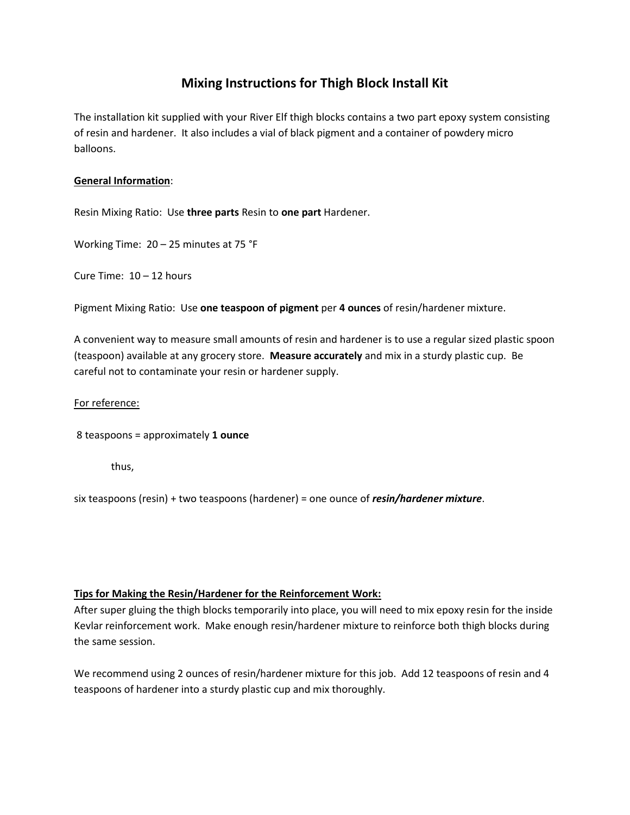# **Mixing Instructions for Thigh Block Install Kit**

The installation kit supplied with your River Elf thigh blocks contains a two part epoxy system consisting of resin and hardener. It also includes a vial of black pigment and a container of powdery micro balloons.

### **General Information**:

Resin Mixing Ratio: Use **three parts** Resin to **one part** Hardener.

Working Time: 20 – 25 minutes at 75 °F

Cure Time: 10 – 12 hours

Pigment Mixing Ratio: Use **one teaspoon of pigment** per **4 ounces** of resin/hardener mixture.

A convenient way to measure small amounts of resin and hardener is to use a regular sized plastic spoon (teaspoon) available at any grocery store. **Measure accurately** and mix in a sturdy plastic cup. Be careful not to contaminate your resin or hardener supply.

#### For reference:

8 teaspoons = approximately **1 ounce**

thus,

six teaspoons (resin) + two teaspoons (hardener) = one ounce of *resin/hardener mixture*.

#### **Tips for Making the Resin/Hardener for the Reinforcement Work:**

After super gluing the thigh blocks temporarily into place, you will need to mix epoxy resin for the inside Kevlar reinforcement work. Make enough resin/hardener mixture to reinforce both thigh blocks during the same session.

We recommend using 2 ounces of resin/hardener mixture for this job. Add 12 teaspoons of resin and 4 teaspoons of hardener into a sturdy plastic cup and mix thoroughly.